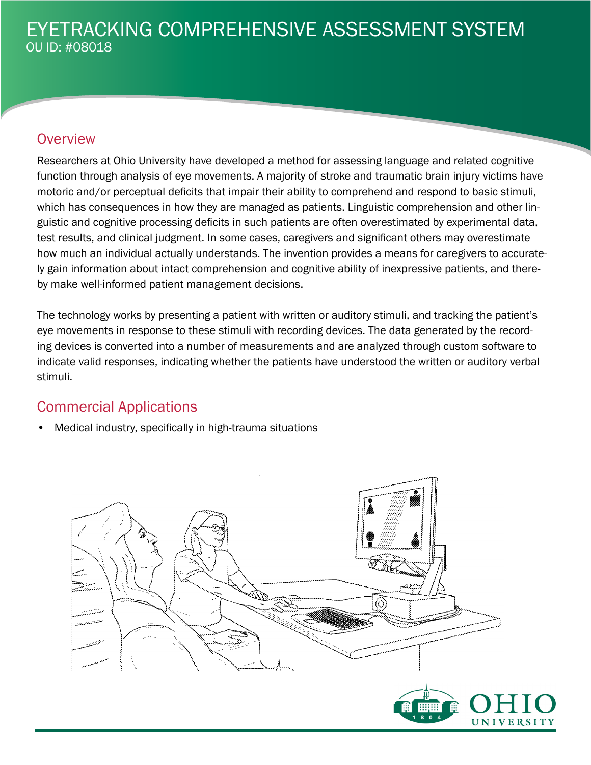## **Overview**

Researchers at Ohio University have developed a method for assessing language and related cognitive function through analysis of eye movements. A majority of stroke and traumatic brain injury victims have motoric and/or perceptual deficits that impair their ability to comprehend and respond to basic stimuli, which has consequences in how they are managed as patients. Linguistic comprehension and other linguistic and cognitive processing deficits in such patients are often overestimated by experimental data, test results, and clinical judgment. In some cases, caregivers and significant others may overestimate how much an individual actually understands. The invention provides a means for caregivers to accurately gain information about intact comprehension and cognitive ability of inexpressive patients, and thereby make well-informed patient management decisions.

The technology works by presenting a patient with written or auditory stimuli, and tracking the patient's eye movements in response to these stimuli with recording devices. The data generated by the recording devices is converted into a number of measurements and are analyzed through custom software to indicate valid responses, indicating whether the patients have understood the written or auditory verbal stimuli.

### Commercial Applications

• Medical industry, specifically in high-trauma situations